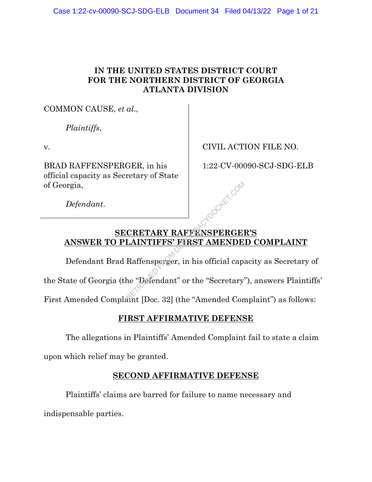### **IN THE UNITED STATES DISTRICT COURT FOR THE NORTHERN DISTRICT OF GEORGIA ATLANTA DIVISION**

COMMON CAUSE, *et al*.,

*Plaintiffs*,

v.

BRAD RAFFENSPERGER, in his official capacity as Secretary of State of Georgia,

CIVIL ACTION FILE NO.

1:22-CV-00090-SCJ-SDG-ELB

*Defendant*.

# **SECRETARY RAFFENSPERGER'S ANSWER TO PLAINTIFFS' FIRST AMENDED COMPLAINT** CRETARY RAFFENSPERGEL<br>
LAINTIFFS' FIRST AMENDE<br>
Raffensperger, in his official capa<br>
the "Defendant" or the "Secretary"

Defendant Brad Raffensperger, in his official capacity as Secretary of

the State of Georgia (the "Defendant" or the "Secretary"), answers Plaintiffs'

First Amended Complaint [Doc. 32] (the "Amended Complaint") as follows:

# **FIRST AFFIRMATIVE DEFENSE**

The allegations in Plaintiffs' Amended Complaint fail to state a claim

upon which relief may be granted.

# **SECOND AFFIRMATIVE DEFENSE**

Plaintiffs' claims are barred for failure to name necessary and indispensable parties.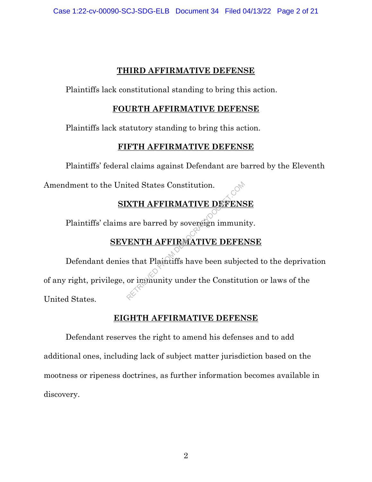#### **THIRD AFFIRMATIVE DEFENSE**

Plaintiffs lack constitutional standing to bring this action.

#### **FOURTH AFFIRMATIVE DEFENSE**

Plaintiffs lack statutory standing to bring this action.

#### **FIFTH AFFIRMATIVE DEFENSE**

Plaintiffs' federal claims against Defendant are barred by the Eleventh

Amendment to the United States Constitution.

# **SIXTH AFFIRMATIVE DEFENSE**

Plaintiffs' claims are barred by sovereign immunity.

# **SEVENTH AFFIRMATIVE DEFENSE**

Defendant denies that Plaintiffs have been subjected to the deprivation of any right, privilege, or immunity under the Constitution or laws of the United States. RETRIEVED FROM ATTERNATIVE DEMOCRACY AT A RETRIEVED FROM A TIVE DEMOCRACY OF THE RETRIEVED OF THE SERVICE THE SUBJECT OF THE MOCRATIVE DEFENSION OF THE MOCRATIVE DEFECT.

#### **EIGHTH AFFIRMATIVE DEFENSE**

Defendant reserves the right to amend his defenses and to add additional ones, including lack of subject matter jurisdiction based on the mootness or ripeness doctrines, as further information becomes available in discovery.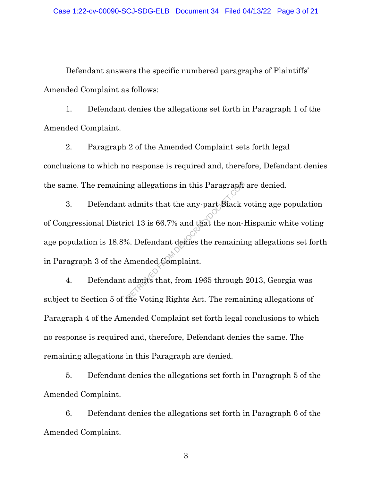Defendant answers the specific numbered paragraphs of Plaintiffs' Amended Complaint as follows:

1. Defendant denies the allegations set forth in Paragraph 1 of the Amended Complaint.

2. Paragraph 2 of the Amended Complaint sets forth legal conclusions to which no response is required and, therefore, Defendant denies the same. The remaining allegations in this Paragraph are denied.

3. Defendant admits that the any-part Black voting age population of Congressional District 13 is 66.7% and that the non-Hispanic white voting age population is 18.8%. Defendant denies the remaining allegations set forth in Paragraph 3 of the Amended Complaint. ng allegations in this Paragraph<br>
admits that the any-part Black<br>
ict 13 is 66.7% and that the non-l<br>
6. Defendant demes the remaining<br>
Amended Complaint.<br>
admits that, from 1965 through<br>
the Voting Rights Act. The remain

4. Defendant admits that, from 1965 through 2013, Georgia was subject to Section 5 of the Voting Rights Act. The remaining allegations of Paragraph 4 of the Amended Complaint set forth legal conclusions to which no response is required and, therefore, Defendant denies the same. The remaining allegations in this Paragraph are denied.

5. Defendant denies the allegations set forth in Paragraph 5 of the Amended Complaint.

6. Defendant denies the allegations set forth in Paragraph 6 of the Amended Complaint.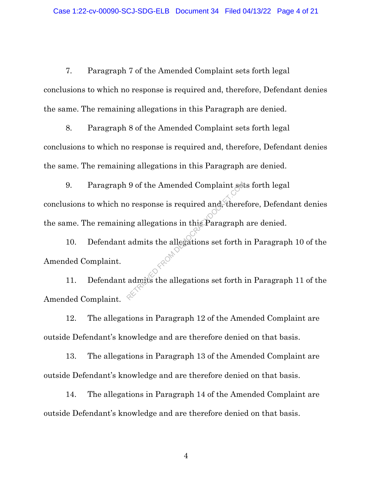7. Paragraph 7 of the Amended Complaint sets forth legal conclusions to which no response is required and, therefore, Defendant denies the same. The remaining allegations in this Paragraph are denied.

8. Paragraph 8 of the Amended Complaint sets forth legal conclusions to which no response is required and, therefore, Defendant denies the same. The remaining allegations in this Paragraph are denied.

9. Paragraph 9 of the Amended Complaint sets forth legal conclusions to which no response is required and, therefore, Defendant denies the same. The remaining allegations in this Paragraph are denied. 9 of the Amended Complaint set<br>  $\alpha$  o response is required and, there<br>  $\alpha$  allegations in this Paragraph<br>
admits the allegations set forth<br>
admits the allegations set forth

10. Defendant admits the allegations set forth in Paragraph 10 of the Amended Complaint.

11. Defendant admits the allegations set forth in Paragraph 11 of the Amended Complaint.

12. The allegations in Paragraph 12 of the Amended Complaint are outside Defendant's knowledge and are therefore denied on that basis.

13. The allegations in Paragraph 13 of the Amended Complaint are outside Defendant's knowledge and are therefore denied on that basis.

14. The allegations in Paragraph 14 of the Amended Complaint are outside Defendant's knowledge and are therefore denied on that basis.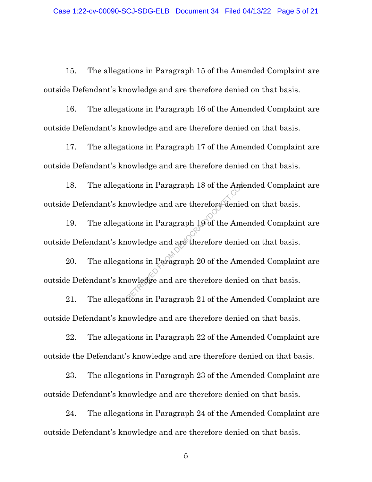15. The allegations in Paragraph 15 of the Amended Complaint are outside Defendant's knowledge and are therefore denied on that basis.

16. The allegations in Paragraph 16 of the Amended Complaint are outside Defendant's knowledge and are therefore denied on that basis.

17. The allegations in Paragraph 17 of the Amended Complaint are outside Defendant's knowledge and are therefore denied on that basis.

18. The allegations in Paragraph 18 of the Amended Complaint are outside Defendant's knowledge and are therefore denied on that basis.

19. The allegations in Paragraph 19 of the Amended Complaint are outside Defendant's knowledge and are therefore denied on that basis.

20. The allegations in Paragraph 20 of the Amended Complaint are outside Defendant's knowledge and are therefore denied on that basis. tions in Paragraph 18 of the Ame<br>
uowledge and are therefore denies<br>
uowledge and are therefore denies<br>
tions in Paragraph 20 of the Ame<br>
uowledge and are therefore denies<br>
fions in Paragraph 21 of the Ame

21. The allegations in Paragraph 21 of the Amended Complaint are outside Defendant's knowledge and are therefore denied on that basis.

22. The allegations in Paragraph 22 of the Amended Complaint are outside the Defendant's knowledge and are therefore denied on that basis.

23. The allegations in Paragraph 23 of the Amended Complaint are outside Defendant's knowledge and are therefore denied on that basis.

24. The allegations in Paragraph 24 of the Amended Complaint are outside Defendant's knowledge and are therefore denied on that basis.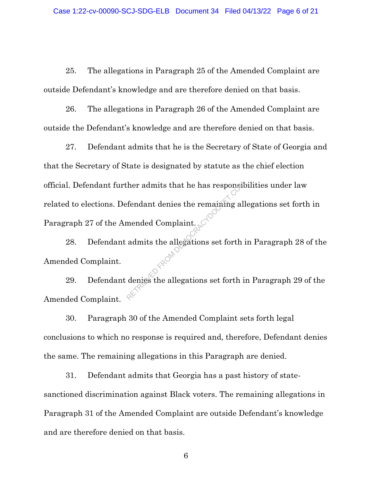25. The allegations in Paragraph 25 of the Amended Complaint are outside Defendant's knowledge and are therefore denied on that basis.

26. The allegations in Paragraph 26 of the Amended Complaint are outside the Defendant's knowledge and are therefore denied on that basis.

27. Defendant admits that he is the Secretary of State of Georgia and that the Secretary of State is designated by statute as the chief election official. Defendant further admits that he has responsibilities under law related to elections. Defendant denies the remaining allegations set forth in Paragraph 27 of the Amended Complaint. Ther admits that he has responsible<br>fendant denies the remaining all<br>mended Complaint.<br>admits the allegations set forth :<br>denies the allegations set forth i

28. Defendant admits the allegations set forth in Paragraph 28 of the Amended Complaint.

29. Defendant denies the allegations set forth in Paragraph 29 of the Amended Complaint.

30. Paragraph 30 of the Amended Complaint sets forth legal conclusions to which no response is required and, therefore, Defendant denies the same. The remaining allegations in this Paragraph are denied.

31. Defendant admits that Georgia has a past history of statesanctioned discrimination against Black voters. The remaining allegations in Paragraph 31 of the Amended Complaint are outside Defendant's knowledge and are therefore denied on that basis.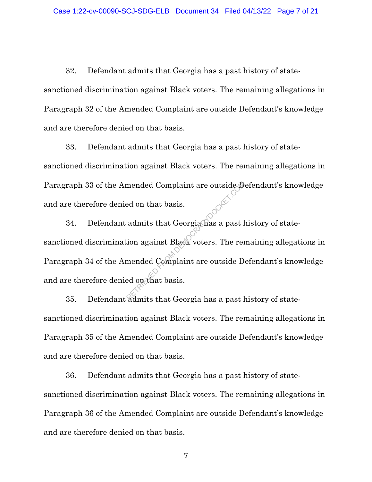32. Defendant admits that Georgia has a past history of statesanctioned discrimination against Black voters. The remaining allegations in Paragraph 32 of the Amended Complaint are outside Defendant's knowledge and are therefore denied on that basis.

33. Defendant admits that Georgia has a past history of statesanctioned discrimination against Black voters. The remaining allegations in Paragraph 33 of the Amended Complaint are outside Defendant's knowledge and are therefore denied on that basis.

34. Defendant admits that Georgia has a past history of statesanctioned discrimination against Black voters. The remaining allegations in Paragraph 34 of the Amended Complaint are outside Defendant's knowledge and are therefore denied on that basis. mended Complaint are outside D<br>
admits that Georgia has a past l<br>
ion against Black voters. The remended Complaint are outside D<br>
admits that Georgia has a past l

35. Defendant admits that Georgia has a past history of statesanctioned discrimination against Black voters. The remaining allegations in Paragraph 35 of the Amended Complaint are outside Defendant's knowledge and are therefore denied on that basis.

36. Defendant admits that Georgia has a past history of statesanctioned discrimination against Black voters. The remaining allegations in Paragraph 36 of the Amended Complaint are outside Defendant's knowledge and are therefore denied on that basis.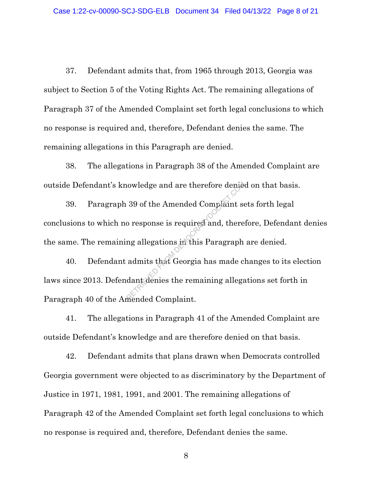37. Defendant admits that, from 1965 through 2013, Georgia was subject to Section 5 of the Voting Rights Act. The remaining allegations of Paragraph 37 of the Amended Complaint set forth legal conclusions to which no response is required and, therefore, Defendant denies the same. The remaining allegations in this Paragraph are denied.

38. The allegations in Paragraph 38 of the Amended Complaint are outside Defendant's knowledge and are therefore denied on that basis.

39. Paragraph 39 of the Amended Complaint sets forth legal conclusions to which no response is required and, therefore, Defendant denies the same. The remaining allegations in this Paragraph are denied. Nowledge and are therefore dense<br>39 of the Amended Complaint se<br>o response is required and, there<br>ng allegations is this Paragraph<br>admits that Georgia has made c<br>dant denies the remaining allegations

40. Defendant admits that Georgia has made changes to its election laws since 2013. Defendant denies the remaining allegations set forth in Paragraph 40 of the Amended Complaint.

41. The allegations in Paragraph 41 of the Amended Complaint are outside Defendant's knowledge and are therefore denied on that basis.

42. Defendant admits that plans drawn when Democrats controlled Georgia government were objected to as discriminatory by the Department of Justice in 1971, 1981, 1991, and 2001. The remaining allegations of Paragraph 42 of the Amended Complaint set forth legal conclusions to which no response is required and, therefore, Defendant denies the same.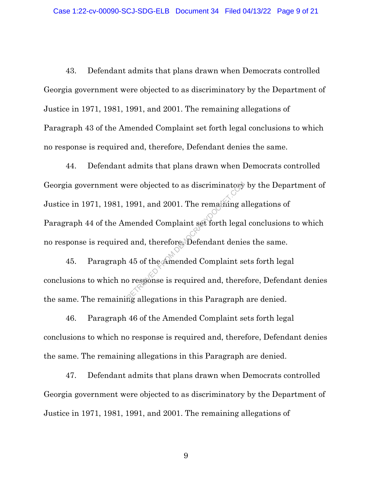43. Defendant admits that plans drawn when Democrats controlled Georgia government were objected to as discriminatory by the Department of Justice in 1971, 1981, 1991, and 2001. The remaining allegations of Paragraph 43 of the Amended Complaint set forth legal conclusions to which no response is required and, therefore, Defendant denies the same.

44. Defendant admits that plans drawn when Democrats controlled Georgia government were objected to as discriminatory by the Department of Justice in 1971, 1981, 1991, and 2001. The remaining allegations of Paragraph 44 of the Amended Complaint set forth legal conclusions to which no response is required and, therefore, Defendant denies the same. ere objected to as discriminatory<br>1991, and 2001. The remaining a<br>mended Complaint set forth legal<br>d and, therefore, Defendant denie<br>45 of the Amended Complaint se<br>o response is required and, there

45. Paragraph 45 of the Amended Complaint sets forth legal conclusions to which no response is required and, therefore, Defendant denies the same. The remaining allegations in this Paragraph are denied.

46. Paragraph 46 of the Amended Complaint sets forth legal conclusions to which no response is required and, therefore, Defendant denies the same. The remaining allegations in this Paragraph are denied.

47. Defendant admits that plans drawn when Democrats controlled Georgia government were objected to as discriminatory by the Department of Justice in 1971, 1981, 1991, and 2001. The remaining allegations of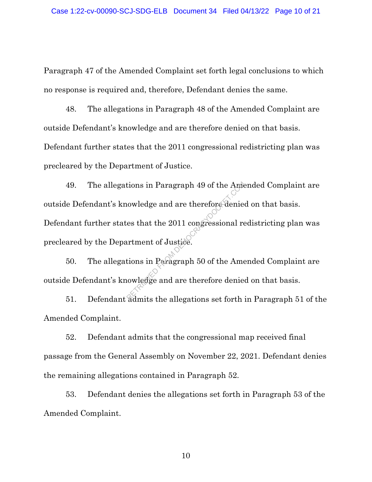Paragraph 47 of the Amended Complaint set forth legal conclusions to which no response is required and, therefore, Defendant denies the same.

48. The allegations in Paragraph 48 of the Amended Complaint are outside Defendant's knowledge and are therefore denied on that basis. Defendant further states that the 2011 congressional redistricting plan was precleared by the Department of Justice.

49. The allegations in Paragraph 49 of the Amended Complaint are outside Defendant's knowledge and are therefore denied on that basis. Defendant further states that the 2011 congressional redistricting plan was precleared by the Department of Justice. tions in Paragraph 49 of the Ame<br>
nowledge and are therefore denies<br>
es that the 2011 congressional re<br>
urtment of Justice.<br>
tions in Paragraph 50 of the Ame<br>
nowledge and are therefore denies

50. The allegations in Paragraph 50 of the Amended Complaint are outside Defendant's knowledge and are therefore denied on that basis.

51. Defendant admits the allegations set forth in Paragraph 51 of the Amended Complaint.

52. Defendant admits that the congressional map received final passage from the General Assembly on November 22, 2021. Defendant denies the remaining allegations contained in Paragraph 52.

53. Defendant denies the allegations set forth in Paragraph 53 of the Amended Complaint.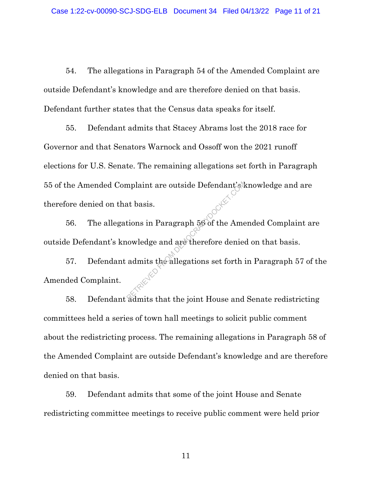54. The allegations in Paragraph 54 of the Amended Complaint are outside Defendant's knowledge and are therefore denied on that basis. Defendant further states that the Census data speaks for itself.

55. Defendant admits that Stacey Abrams lost the 2018 race for Governor and that Senators Warnock and Ossoff won the 2021 runoff elections for U.S. Senate. The remaining allegations set forth in Paragraph 55 of the Amended Complaint are outside Defendant's knowledge and are therefore denied on that basis.

56. The allegations in Paragraph 56 of the Amended Complaint are outside Defendant's knowledge and are therefore denied on that basis.

57. Defendant admits the allegations set forth in Paragraph 57 of the Amended Complaint. mplaint are outside Defendant's<br>at basis.<br>tions in Paragraph 56 of the Ame<br>nowledge and are therefore denies<br>admits the allegations set forth :

58. Defendant admits that the joint House and Senate redistricting committees held a series of town hall meetings to solicit public comment about the redistricting process. The remaining allegations in Paragraph 58 of the Amended Complaint are outside Defendant's knowledge and are therefore denied on that basis.

59. Defendant admits that some of the joint House and Senate redistricting committee meetings to receive public comment were held prior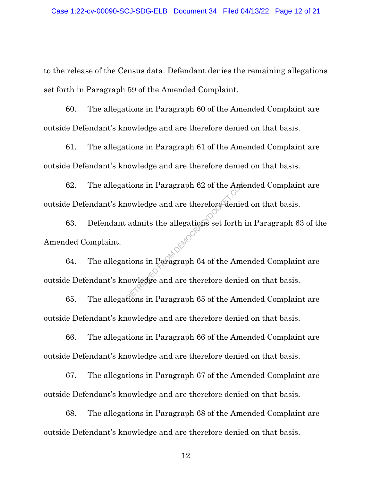to the release of the Census data. Defendant denies the remaining allegations set forth in Paragraph 59 of the Amended Complaint.

60. The allegations in Paragraph 60 of the Amended Complaint are outside Defendant's knowledge and are therefore denied on that basis.

61. The allegations in Paragraph 61 of the Amended Complaint are outside Defendant's knowledge and are therefore denied on that basis.

62. The allegations in Paragraph 62 of the Amended Complaint are outside Defendant's knowledge and are therefore denied on that basis. From Baragraph 62 of the Amendeu<br>Representative and are therefore denies<br>admits the allegations set forth<br>tions in Paragraph 64 of the Amendeus<br>Rions in Paragraph 65 of the Amendeus

63. Defendant admits the allegations set forth in Paragraph 63 of the Amended Complaint.

64. The allegations in Paragraph 64 of the Amended Complaint are outside Defendant's knowledge and are therefore denied on that basis.

65. The allegations in Paragraph 65 of the Amended Complaint are outside Defendant's knowledge and are therefore denied on that basis.

66. The allegations in Paragraph 66 of the Amended Complaint are outside Defendant's knowledge and are therefore denied on that basis.

67. The allegations in Paragraph 67 of the Amended Complaint are outside Defendant's knowledge and are therefore denied on that basis.

68. The allegations in Paragraph 68 of the Amended Complaint are outside Defendant's knowledge and are therefore denied on that basis.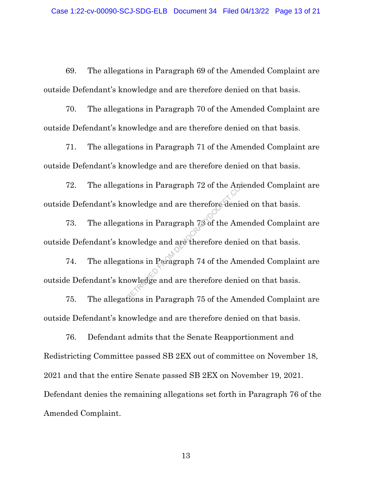69. The allegations in Paragraph 69 of the Amended Complaint are outside Defendant's knowledge and are therefore denied on that basis.

70. The allegations in Paragraph 70 of the Amended Complaint are outside Defendant's knowledge and are therefore denied on that basis.

71. The allegations in Paragraph 71 of the Amended Complaint are outside Defendant's knowledge and are therefore denied on that basis.

72. The allegations in Paragraph 72 of the Amended Complaint are outside Defendant's knowledge and are therefore denied on that basis. tions in Paragraph 72 of the Ame<br>
uowledge and are therefore denies<br>
uowledge and are therefore denies<br>
tions in Paragraph 74 of the Ame<br>
uowledge and are therefore denies<br>
fions in Paragraph 75 of the Ame

73. The allegations in Paragraph 73 of the Amended Complaint are outside Defendant's knowledge and are therefore denied on that basis.

74. The allegations in Paragraph 74 of the Amended Complaint are outside Defendant's knowledge and are therefore denied on that basis.

75. The allegations in Paragraph 75 of the Amended Complaint are outside Defendant's knowledge and are therefore denied on that basis.

76. Defendant admits that the Senate Reapportionment and Redistricting Committee passed SB 2EX out of committee on November 18, 2021 and that the entire Senate passed SB 2EX on November 19, 2021. Defendant denies the remaining allegations set forth in Paragraph 76 of the Amended Complaint.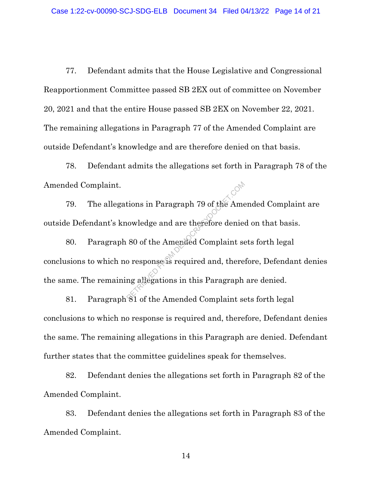77. Defendant admits that the House Legislative and Congressional Reapportionment Committee passed SB 2EX out of committee on November 20, 2021 and that the entire House passed SB 2EX on November 22, 2021. The remaining allegations in Paragraph 77 of the Amended Complaint are outside Defendant's knowledge and are therefore denied on that basis.

78. Defendant admits the allegations set forth in Paragraph 78 of the Amended Complaint.

79. The allegations in Paragraph 79 of the Amended Complaint are outside Defendant's knowledge and are therefore denied on that basis.

80. Paragraph 80 of the Amended Complaint sets forth legal conclusions to which no response is required and, therefore, Defendant denies the same. The remaining allegations in this Paragraph are denied. From Baragraph 79 of the Amended Complaint<br>
80 of the Amended Complaint se<br>
80 or esponse is required and, there<br>
81 of the Amended Complaint se

81. Paragraph 81 of the Amended Complaint sets forth legal conclusions to which no response is required and, therefore, Defendant denies the same. The remaining allegations in this Paragraph are denied. Defendant further states that the committee guidelines speak for themselves.

82. Defendant denies the allegations set forth in Paragraph 82 of the Amended Complaint.

83. Defendant denies the allegations set forth in Paragraph 83 of the Amended Complaint.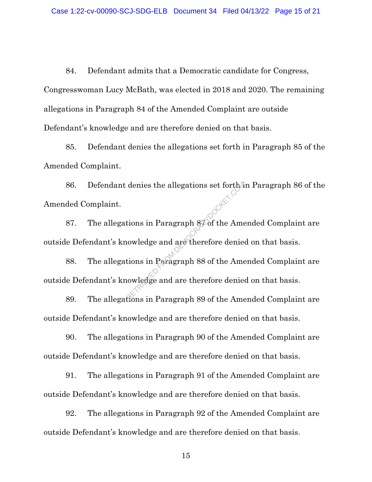84. Defendant admits that a Democratic candidate for Congress, Congresswoman Lucy McBath, was elected in 2018 and 2020. The remaining allegations in Paragraph 84 of the Amended Complaint are outside Defendant's knowledge and are therefore denied on that basis.

85. Defendant denies the allegations set forth in Paragraph 85 of the Amended Complaint.

86. Defendant denies the allegations set forth in Paragraph 86 of the Amended Complaint. denies the allegations set forther<br>tions in Paragraph 8 $\sigma$  of the Amenowledge and are therefore denies<br>tions in Paragraph 88 of the Amenowledge and are therefore denies

87. The allegations in Paragraph 87 of the Amended Complaint are outside Defendant's knowledge and are therefore denied on that basis.

88. The allegations in Paragraph 88 of the Amended Complaint are outside Defendant's knowledge and are therefore denied on that basis.

89. The allegations in Paragraph 89 of the Amended Complaint are outside Defendant's knowledge and are therefore denied on that basis.

90. The allegations in Paragraph 90 of the Amended Complaint are outside Defendant's knowledge and are therefore denied on that basis.

91. The allegations in Paragraph 91 of the Amended Complaint are outside Defendant's knowledge and are therefore denied on that basis.

92. The allegations in Paragraph 92 of the Amended Complaint are outside Defendant's knowledge and are therefore denied on that basis.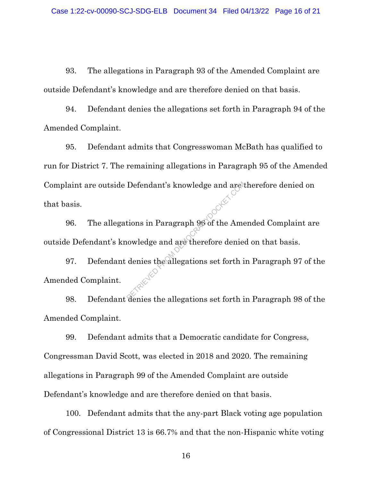93. The allegations in Paragraph 93 of the Amended Complaint are outside Defendant's knowledge and are therefore denied on that basis.

94. Defendant denies the allegations set forth in Paragraph 94 of the Amended Complaint.

95. Defendant admits that Congresswoman McBath has qualified to run for District 7. The remaining allegations in Paragraph 95 of the Amended Complaint are outside Defendant's knowledge and are therefore denied on that basis. Defendant's knowledge and are the Americans in Paragraph 96 of the American<br>iowledge and are therefore denies<br>denies the allegations set forth is

96. The allegations in Paragraph 96 of the Amended Complaint are outside Defendant's knowledge and are therefore denied on that basis.

97. Defendant denies the allegations set forth in Paragraph 97 of the Amended Complaint.

98. Defendant denies the allegations set forth in Paragraph 98 of the Amended Complaint.

99. Defendant admits that a Democratic candidate for Congress, Congressman David Scott, was elected in 2018 and 2020. The remaining allegations in Paragraph 99 of the Amended Complaint are outside Defendant's knowledge and are therefore denied on that basis.

100. Defendant admits that the any-part Black voting age population of Congressional District 13 is 66.7% and that the non-Hispanic white voting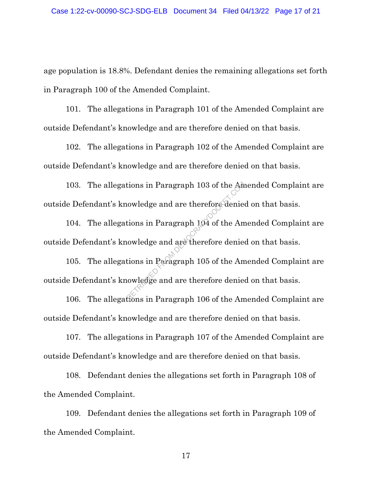age population is 18.8%. Defendant denies the remaining allegations set forth in Paragraph 100 of the Amended Complaint.

101. The allegations in Paragraph 101 of the Amended Complaint are outside Defendant's knowledge and are therefore denied on that basis.

102. The allegations in Paragraph 102 of the Amended Complaint are outside Defendant's knowledge and are therefore denied on that basis.

103. The allegations in Paragraph 103 of the Amended Complaint are outside Defendant's knowledge and are therefore denied on that basis. tions in Paragraph 103 of the Am<br>
nowledge and are therefore denies<br>
nowledge and are therefore denies<br>
tions in Paragraph 105 of the Am<br>
nowledge and are therefore denies<br>
fions in Paragraph 106 of the Am

104. The allegations in Paragraph 104 of the Amended Complaint are outside Defendant's knowledge and are therefore denied on that basis.

105. The allegations in Paragraph 105 of the Amended Complaint are outside Defendant's knowledge and are therefore denied on that basis.

106. The allegations in Paragraph 106 of the Amended Complaint are outside Defendant's knowledge and are therefore denied on that basis.

107. The allegations in Paragraph 107 of the Amended Complaint are outside Defendant's knowledge and are therefore denied on that basis.

108. Defendant denies the allegations set forth in Paragraph 108 of the Amended Complaint.

109. Defendant denies the allegations set forth in Paragraph 109 of the Amended Complaint.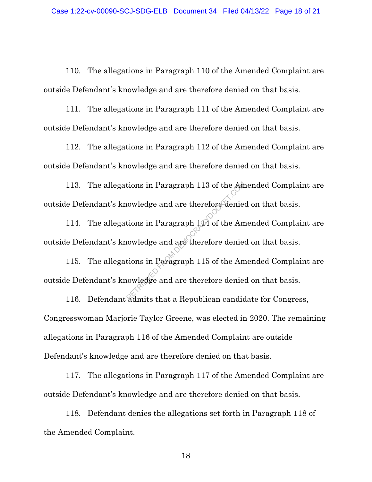110. The allegations in Paragraph 110 of the Amended Complaint are outside Defendant's knowledge and are therefore denied on that basis.

111. The allegations in Paragraph 111 of the Amended Complaint are outside Defendant's knowledge and are therefore denied on that basis.

112. The allegations in Paragraph 112 of the Amended Complaint are outside Defendant's knowledge and are therefore denied on that basis.

113. The allegations in Paragraph 113 of the Amended Complaint are outside Defendant's knowledge and are therefore denied on that basis. tions in Paragraph 113 of the Am<br>
nowledge and are therefore denies<br>
nowledge and are therefore denies<br>
tions in Paragraph 115 of the Am<br>
nowledge and are therefore denies<br>
admits that a Republican candid

114. The allegations in Paragraph 114 of the Amended Complaint are outside Defendant's knowledge and are therefore denied on that basis.

115. The allegations in Paragraph 115 of the Amended Complaint are outside Defendant's knowledge and are therefore denied on that basis.

116. Defendant admits that a Republican candidate for Congress, Congresswoman Marjorie Taylor Greene, was elected in 2020. The remaining allegations in Paragraph 116 of the Amended Complaint are outside Defendant's knowledge and are therefore denied on that basis.

117. The allegations in Paragraph 117 of the Amended Complaint are outside Defendant's knowledge and are therefore denied on that basis.

118. Defendant denies the allegations set forth in Paragraph 118 of the Amended Complaint.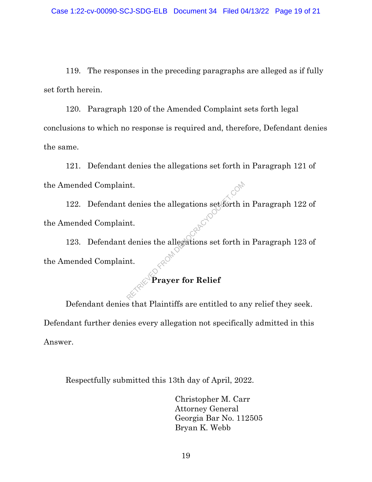119. The responses in the preceding paragraphs are alleged as if fully set forth herein.

120. Paragraph 120 of the Amended Complaint sets forth legal conclusions to which no response is required and, therefore, Defendant denies the same.

121. Defendant denies the allegations set forth in Paragraph 121 of the Amended Complaint.

122. Defendant denies the allegations set forth in Paragraph 122 of the Amended Complaint. The denies the allegations set forth in the democration of the democration of the democration of the democration of the company of the process of the company of the company of the company of the company of the company of t

123. Defendant denies the allegations set forth in Paragraph 123 of the Amended Complaint.

# **Prayer for Relief**

Defendant denies that Plaintiffs are entitled to any relief they seek. Defendant further denies every allegation not specifically admitted in this Answer.

Respectfully submitted this 13th day of April, 2022.

Christopher M. Carr Attorney General Georgia Bar No. 112505 Bryan K. Webb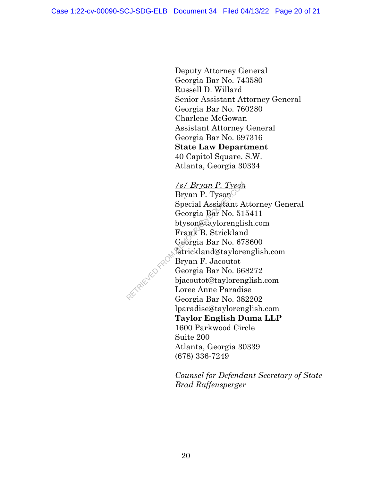Deputy Attorney General Georgia Bar No. 743580 Russell D. Willard Senior Assistant Attorney General Georgia Bar No. 760280 Charlene McGowan Assistant Attorney General Georgia Bar No. 697316 **State Law Department** 40 Capitol Square, S.W. Atlanta, Georgia 30334

## */s/ Bryan P. Tyson*

Bryan P. Tyson Special Assistant Attorney General Georgia Bar No. 515411 btyson@taylorenglish.com Frank B. Strickland Georgia Bar No. 678600 fstrickland@taylorenglish.com Bryan F. Jacoutot Georgia Bar No. 668272 bjacoutot@taylorenglish.com Loree Anne Paradise Georgia Bar No. 382202 lparadise@taylorenglish.com **Taylor English Duma LLP** 1600 Parkwood Circle Suite 200 Atlanta, Georgia 30339 (678) 336-7249  $\frac{f \cancel{s}/Bryan \cancel{P}.\ \text{Tyson}}{\text{Bryan P. Tyson}}$ <br>
Special Assistant A<br>
Georgia Bar No. 51<br>
btyson@taylorengli<br>
Frank B. Strickland<br>
Georgia Bar No. 67<br>
fstrickland@taylore<br>
Bryan F. Jacoutot<br>
Georgia Bar No. 66<br>
bjacoutot@tayloren<br>
L

> *Counsel for Defendant Secretary of State Brad Raffensperger*